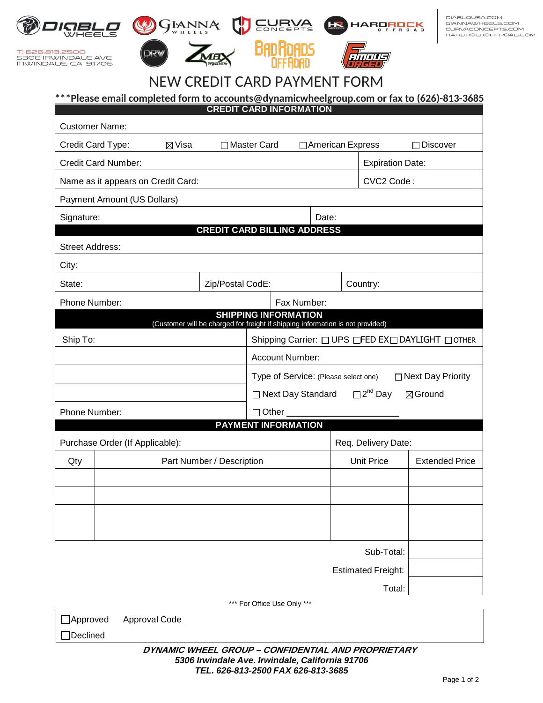

T: 626.813.2500<br>5306 IRWINDALE AVE<br>IRWINDALE, CA 91706



**TED** 





DIABLOUSA.COM GIANNAWHEELS.COM<br>CURVACONCEPTS.COM HARDROCKOFFROAD.COM

# **CREDIT CARD PAYMENT FORM** NEW CREDIT CARD PAYMENT FORM

H

# \*\*\*Please email completed form to accounts@dynamicwheelgroup.com or fax to (626)-813-3685

| <b>CREDIT CARD INFORMATION</b>                                                                                |                             |            |                                    |                                                                            |                           |                   |                       |  |
|---------------------------------------------------------------------------------------------------------------|-----------------------------|------------|------------------------------------|----------------------------------------------------------------------------|---------------------------|-------------------|-----------------------|--|
| <b>Customer Name:</b>                                                                                         |                             |            |                                    |                                                                            |                           |                   |                       |  |
| Credit Card Type:<br>$\boxtimes$ Visa                                                                         |                             |            | □ Master Card                      |                                                                            | □ American Express        |                   | $\Box$ Discover       |  |
| <b>Credit Card Number:</b>                                                                                    |                             |            |                                    | <b>Expiration Date:</b>                                                    |                           |                   |                       |  |
| Name as it appears on Credit Card:                                                                            |                             | CVC2 Code: |                                    |                                                                            |                           |                   |                       |  |
|                                                                                                               | Payment Amount (US Dollars) |            |                                    |                                                                            |                           |                   |                       |  |
| Signature:                                                                                                    |                             |            |                                    | Date:                                                                      |                           |                   |                       |  |
|                                                                                                               |                             |            | <b>CREDIT CARD BILLING ADDRESS</b> |                                                                            |                           |                   |                       |  |
| <b>Street Address:</b>                                                                                        |                             |            |                                    |                                                                            |                           |                   |                       |  |
| City:                                                                                                         |                             |            |                                    |                                                                            |                           |                   |                       |  |
| State:                                                                                                        |                             |            | Zip/Postal CodE:                   | Country:                                                                   |                           |                   |                       |  |
| Phone Number:<br>Fax Number:                                                                                  |                             |            |                                    |                                                                            |                           |                   |                       |  |
| <b>SHIPPING INFORMATION</b><br>(Customer will be charged for freight if shipping information is not provided) |                             |            |                                    |                                                                            |                           |                   |                       |  |
| Ship To:                                                                                                      |                             |            |                                    | Shipping Carrier: □ UPS □FED EX□ DAYLIGHT □ OTHER                          |                           |                   |                       |  |
|                                                                                                               |                             |            |                                    | Account Number:                                                            |                           |                   |                       |  |
|                                                                                                               |                             |            |                                    | □ Next Day Priority<br>Type of Service: (Please select one)                |                           |                   |                       |  |
|                                                                                                               |                             |            |                                    | $\square$ 2 <sup>nd</sup> Day<br>□ Next Day Standard<br>$\boxtimes$ Ground |                           |                   |                       |  |
| Phone Number:<br>$\Box$ Other $\Box$<br><b>PAYMENT INFORMATION</b>                                            |                             |            |                                    |                                                                            |                           |                   |                       |  |
|                                                                                                               |                             |            |                                    |                                                                            |                           |                   | Req. Delivery Date:   |  |
| Purchase Order (If Applicable):<br>Part Number / Description                                                  |                             |            |                                    |                                                                            |                           | <b>Unit Price</b> | <b>Extended Price</b> |  |
| Qty                                                                                                           |                             |            |                                    |                                                                            |                           |                   |                       |  |
|                                                                                                               |                             |            |                                    |                                                                            |                           |                   |                       |  |
|                                                                                                               |                             |            |                                    |                                                                            |                           |                   |                       |  |
|                                                                                                               |                             |            |                                    |                                                                            |                           |                   |                       |  |
|                                                                                                               |                             |            |                                    |                                                                            |                           | Sub-Total:        |                       |  |
|                                                                                                               |                             |            |                                    |                                                                            | <b>Estimated Freight:</b> |                   |                       |  |
|                                                                                                               |                             | Total:     |                                    |                                                                            |                           |                   |                       |  |
| *** For Office Use Only ***                                                                                   |                             |            |                                    |                                                                            |                           |                   |                       |  |
|                                                                                                               |                             |            |                                    |                                                                            |                           |                   |                       |  |

| □Approved | Approval Code |  |
|-----------|---------------|--|
|           |               |  |

#### *5306 Irwindale Ave. Irwindale, California 91706 TEL. 626-813-2500 FAX 626-813-3685* **DYNAMIC WHEEL GROUP – CONFIDENTIAL AND PROPRIETARY**